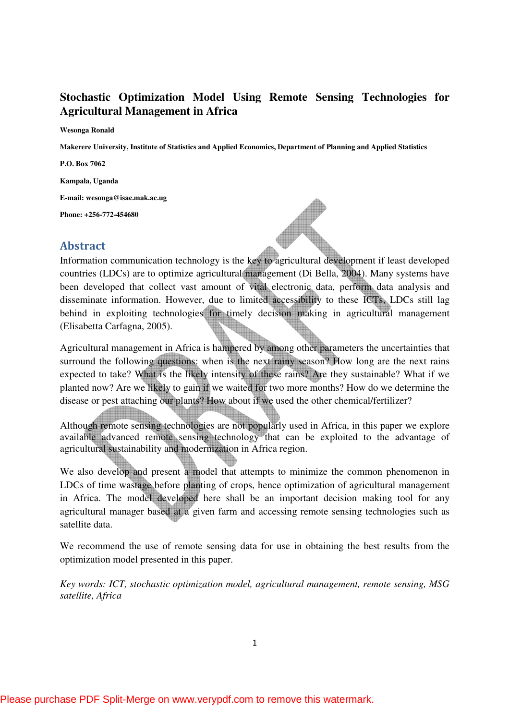# **Stochastic Optimization Model Using Remote Sensing Technologies for Agricultural Management in Africa**

**Wesonga Ronald** 

**Makerere University, Institute of Statistics and Applied Economics, Department of Planning and Applied Statistics** 

**P.O. Box 7062** 

**Kampala, Uganda** 

**E-mail: wesonga@isae.mak.ac.ug** 

**Phone: +256-772-454680** 

# Abstract



Information communication technology is the key to agricultural development if least developed countries (LDCs) are to optimize agricultural management (Di Bella, 2004). Many systems have been developed that collect vast amount of vital electronic data, perform data analysis and disseminate information. However, due to limited accessibility to these ICTs, LDCs still lag behind in exploiting technologies for timely decision making in agricultural management (Elisabetta Carfagna, 2005).

Agricultural management in Africa is hampered by among other parameters the uncertainties that surround the following questions: when is the next rainy season? How long are the next rains expected to take? What is the likely intensity of these rains? Are they sustainable? What if we planted now? Are we likely to gain if we waited for two more months? How do we determine the disease or pest attaching our plants? How about if we used the other chemical/fertilizer?

Although remote sensing technologies are not popularly used in Africa, in this paper we explore available advanced remote sensing technology that can be exploited to the advantage of agricultural sustainability and modernization in Africa region.

We also develop and present a model that attempts to minimize the common phenomenon in LDCs of time wastage before planting of crops, hence optimization of agricultural management in Africa. The model developed here shall be an important decision making tool for any agricultural manager based at a given farm and accessing remote sensing technologies such as satellite data.

We recommend the use of remote sensing data for use in obtaining the best results from the optimization model presented in this paper.

*Key words: ICT, stochastic optimization model, agricultural management, remote sensing, MSG satellite, Africa*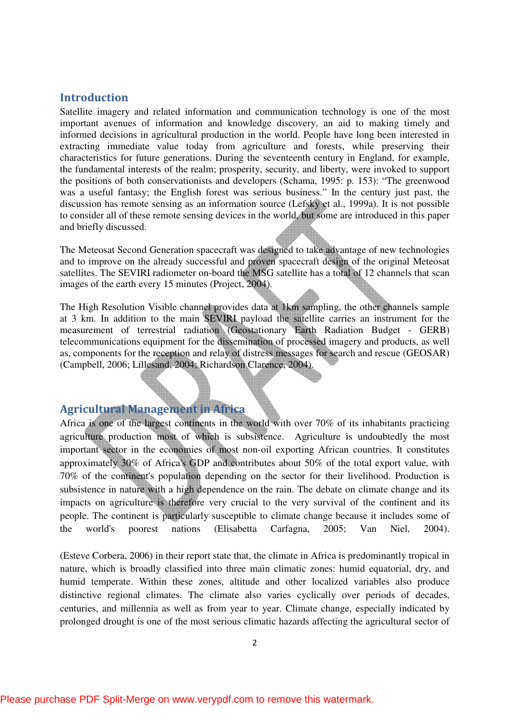# Introduction

Satellite imagery and related information and communication technology is one of the most important avenues of information and knowledge discovery, an aid to making timely and informed decisions in agricultural production in the world. People have long been interested in extracting immediate value today from agriculture and forests, while preserving their characteristics for future generations. During the seventeenth century in England, for example, the fundamental interests of the realm; prosperity, security, and liberty, were invoked to support the positions of both conservationists and developers (Schama, 1995: p. 153): "The greenwood was a useful fantasy; the English forest was serious business." In the century just past, the discussion has remote sensing as an information source (Lefsky et al., 1999a). It is not possible to consider all of these remote sensing devices in the world, but some are introduced in this paper and briefly discussed.

The Meteosat Second Generation spacecraft was designed to take advantage of new technologies and to improve on the already successful and proven spacecraft design of the original Meteosat satellites. The SEVIRI radiometer on-board the MSG satellite has a total of 12 channels that scan images of the earth every 15 minutes (Project, 2004).

The High Resolution Visible channel provides data at 1km sampling, the other channels sample at 3 km. In addition to the main SEVIRI payload the satellite carries an instrument for the measurement of terrestrial radiation (Geostationary Earth Radiation Budget - GERB) telecommunications equipment for the dissemination of processed imagery and products, as well as, components for the reception and relay of distress messages for search and rescue (GEOSAR) (Campbell, 2006; Lillesand, 2004; Richardson Clarence, 2004).

# Agricultural Management in Africa

Africa is one of the largest continents in the world with over 70% of its inhabitants practicing agriculture production most of which is subsistence. Agriculture is undoubtedly the most important sector in the economies of most non-oil exporting African countries. It constitutes approximately 30% of Africa's GDP and contributes about 50% of the total export value, with 70% of the continent's population depending on the sector for their livelihood. Production is subsistence in nature with a high dependence on the rain. The debate on climate change and its impacts on agriculture is therefore very crucial to the very survival of the continent and its people. The continent is particularly susceptible to climate change because it includes some of the world's poorest nations (Elisabetta Carfagna, 2005; Van Niel, 2004).

(Esteve Corbera, 2006) in their report state that, the climate in Africa is predominantly tropical in nature, which is broadly classified into three main climatic zones: humid equatorial, dry, and humid temperate. Within these zones, altitude and other localized variables also produce distinctive regional climates. The climate also varies cyclically over periods of decades, centuries, and millennia as well as from year to year. Climate change, especially indicated by prolonged drought is one of the most serious climatic hazards affecting the agricultural sector of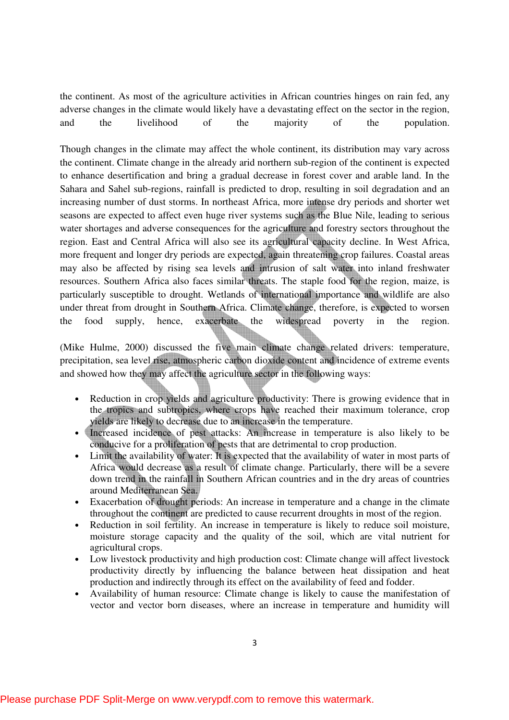the continent. As most of the agriculture activities in African countries hinges on rain fed, any adverse changes in the climate would likely have a devastating effect on the sector in the region, and the livelihood of the majority of the population.

Though changes in the climate may affect the whole continent, its distribution may vary across the continent. Climate change in the already arid northern sub-region of the continent is expected to enhance desertification and bring a gradual decrease in forest cover and arable land. In the Sahara and Sahel sub-regions, rainfall is predicted to drop, resulting in soil degradation and an increasing number of dust storms. In northeast Africa, more intense dry periods and shorter wet seasons are expected to affect even huge river systems such as the Blue Nile, leading to serious water shortages and adverse consequences for the agriculture and forestry sectors throughout the region. East and Central Africa will also see its agricultural capacity decline. In West Africa, more frequent and longer dry periods are expected, again threatening crop failures. Coastal areas may also be affected by rising sea levels and intrusion of salt water into inland freshwater resources. Southern Africa also faces similar threats. The staple food for the region, maize, is particularly susceptible to drought. Wetlands of international importance and wildlife are also under threat from drought in Southern Africa. Climate change, therefore, is expected to worsen the food supply, hence, exacerbate the widespread poverty in the region.

(Mike Hulme, 2000) discussed the five main climate change related drivers: temperature, precipitation, sea level rise, atmospheric carbon dioxide content and incidence of extreme events and showed how they may affect the agriculture sector in the following ways:

- Reduction in crop yields and agriculture productivity: There is growing evidence that in the tropics and subtropics, where crops have reached their maximum tolerance, crop yields are likely to decrease due to an increase in the temperature.
- Increased incidence of pest attacks: An increase in temperature is also likely to be conducive for a proliferation of pests that are detrimental to crop production.
- Limit the availability of water: It is expected that the availability of water in most parts of Africa would decrease as a result of climate change. Particularly, there will be a severe down trend in the rainfall in Southern African countries and in the dry areas of countries around Mediterranean Sea.
- Exacerbation of drought periods: An increase in temperature and a change in the climate throughout the continent are predicted to cause recurrent droughts in most of the region.
- Reduction in soil fertility. An increase in temperature is likely to reduce soil moisture, moisture storage capacity and the quality of the soil, which are vital nutrient for agricultural crops.
- Low livestock productivity and high production cost: Climate change will affect livestock productivity directly by influencing the balance between heat dissipation and heat production and indirectly through its effect on the availability of feed and fodder.
- Availability of human resource: Climate change is likely to cause the manifestation of vector and vector born diseases, where an increase in temperature and humidity will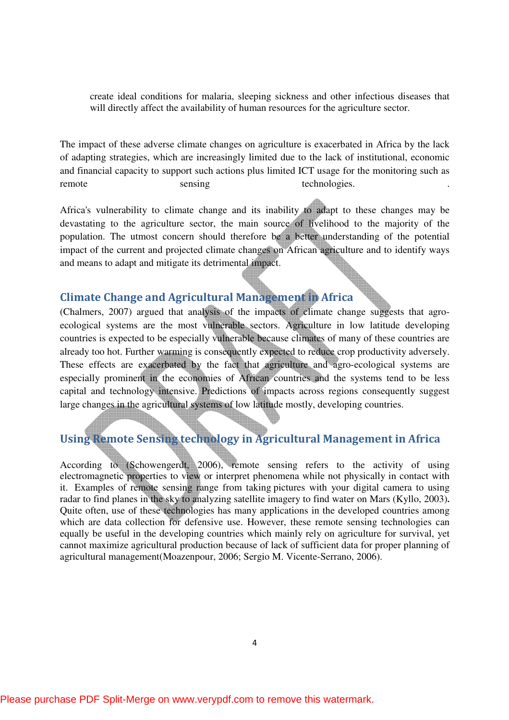create ideal conditions for malaria, sleeping sickness and other infectious diseases that will directly affect the availability of human resources for the agriculture sector.

The impact of these adverse climate changes on agriculture is exacerbated in Africa by the lack of adapting strategies, which are increasingly limited due to the lack of institutional, economic and financial capacity to support such actions plus limited ICT usage for the monitoring such as remote sensing technologies.

Africa's vulnerability to climate change and its inability to adapt to these changes may be devastating to the agriculture sector, the main source of livelihood to the majority of the population. The utmost concern should therefore be a better understanding of the potential impact of the current and projected climate changes on African agriculture and to identify ways and means to adapt and mitigate its detrimental impact.

# Climate Change and Agricultural Management in Africa

(Chalmers, 2007) argued that analysis of the impacts of climate change suggests that agroecological systems are the most vulnerable sectors. Agriculture in low latitude developing countries is expected to be especially vulnerable because climates of many of these countries are already too hot. Further warming is consequently expected to reduce crop productivity adversely. These effects are exacerbated by the fact that agriculture and agro-ecological systems are especially prominent in the economies of African countries and the systems tend to be less capital and technology intensive. Predictions of impacts across regions consequently suggest large changes in the agricultural systems of low latitude mostly, developing countries.

# Using Remote Sensing technology in Agricultural Management in Africa

According to (Schowengerdt, 2006), remote sensing refers to the activity of using electromagnetic properties to view or interpret phenomena while not physically in contact with it. Examples of remote sensing range from taking pictures with your digital camera to using radar to find planes in the sky to analyzing satellite imagery to find water on Mars (Kyllo, 2003)**.** Quite often, use of these technologies has many applications in the developed countries among which are data collection for defensive use. However, these remote sensing technologies can equally be useful in the developing countries which mainly rely on agriculture for survival, yet cannot maximize agricultural production because of lack of sufficient data for proper planning of agricultural management(Moazenpour, 2006; Sergio M. Vicente-Serrano, 2006).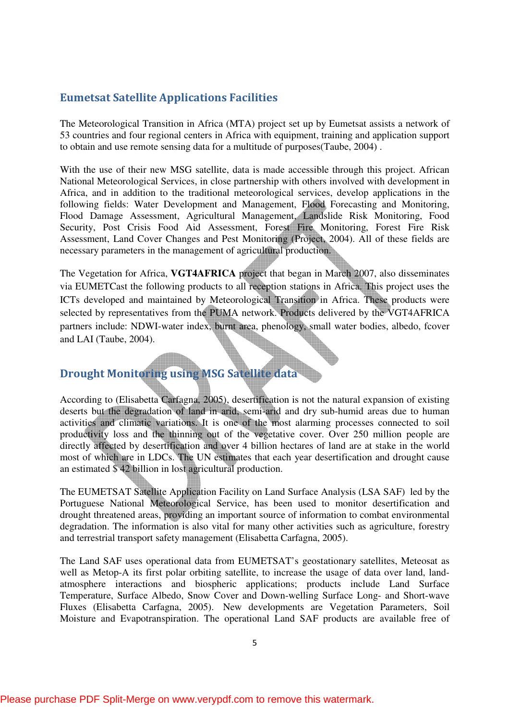# Eumetsat Satellite Applications Facilities

The Meteorological Transition in Africa (MTA) project set up by Eumetsat assists a network of 53 countries and four regional centers in Africa with equipment, training and application support to obtain and use remote sensing data for a multitude of purposes(Taube, 2004) .

With the use of their new MSG satellite, data is made accessible through this project. African National Meteorological Services, in close partnership with others involved with development in Africa, and in addition to the traditional meteorological services, develop applications in the following fields: Water Development and Management, Flood Forecasting and Monitoring, Flood Damage Assessment, Agricultural Management, Landslide Risk Monitoring, Food Security, Post Crisis Food Aid Assessment, Forest Fire Monitoring, Forest Fire Risk Assessment, Land Cover Changes and Pest Monitoring (Project, 2004). All of these fields are necessary parameters in the management of agricultural production.

The Vegetation for Africa, **VGT4AFRICA** project that began in March 2007, also disseminates via EUMETCast the following products to all reception stations in Africa. This project uses the ICTs developed and maintained by Meteorological Transition in Africa. These products were selected by representatives from the PUMA network. Products delivered by the VGT4AFRICA partners include: NDWI-water index, burnt area, phenology, small water bodies, albedo, fcover and LAI (Taube, 2004).

# Drought Monitoring using MSG Satellite data

According to (Elisabetta Carfagna, 2005), desertification is not the natural expansion of existing deserts but the degradation of land in arid, semi-arid and dry sub-humid areas due to human activities and climatic variations. It is one of the most alarming processes connected to soil productivity loss and the thinning out of the vegetative cover. Over 250 million people are directly affected by desertification and over 4 billion hectares of land are at stake in the world most of which are in LDCs. The UN estimates that each year desertification and drought cause an estimated \$ 42 billion in lost agricultural production.

The EUMETSAT Satellite Application Facility on Land Surface Analysis (LSA SAF) led by the Portuguese National Meteorological Service, has been used to monitor desertification and drought threatened areas, providing an important source of information to combat environmental degradation. The information is also vital for many other activities such as agriculture, forestry and terrestrial transport safety management (Elisabetta Carfagna, 2005).

The Land SAF uses operational data from EUMETSAT's geostationary satellites, Meteosat as well as Metop-A its first polar orbiting satellite, to increase the usage of data over land, landatmosphere interactions and biospheric applications; products include Land Surface Temperature, Surface Albedo, Snow Cover and Down-welling Surface Long- and Short-wave Fluxes (Elisabetta Carfagna, 2005). New developments are Vegetation Parameters, Soil Moisture and Evapotranspiration. The operational Land SAF products are available free of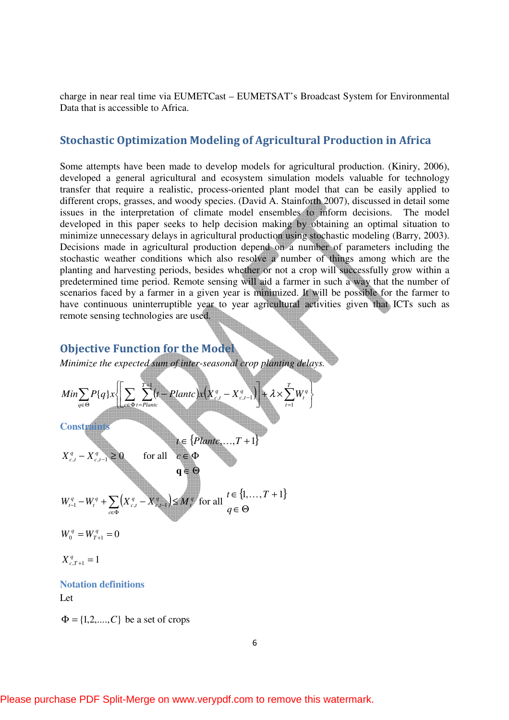charge in near real time via EUMETCast – EUMETSAT's Broadcast System for Environmental Data that is accessible to Africa.

# Stochastic Optimization Modeling of Agricultural Production in Africa

Some attempts have been made to develop models for agricultural production. (Kiniry, 2006), developed a general agricultural and ecosystem simulation models valuable for technology transfer that require a realistic, process-oriented plant model that can be easily applied to different crops, grasses, and woody species. (David A. Stainforth 2007), discussed in detail some issues in the interpretation of climate model ensembles to inform decisions. The model developed in this paper seeks to help decision making by obtaining an optimal situation to minimize unnecessary delays in agricultural production using stochastic modeling (Barry, 2003). Decisions made in agricultural production depend on a number of parameters including the stochastic weather conditions which also resolve a number of things among which are the planting and harvesting periods, besides whether or not a crop will successfully grow within a predetermined time period. Remote sensing will aid a farmer in such a way that the number of scenarios faced by a farmer in a given year is minimized. It will be possible for the farmer to have continuous uninterruptible year to year agricultural activities given that ICTs such as remote sensing technologies are used.

# Objective Function for the Model

<u>Alimn</u>

*Minimize the expected sum of inter-seasonal crop planting delays.* 

$$
Min \sum_{q \in \Theta} P\{q\} \times \left\{ \left[ \sum_{c \in \Phi} \sum_{t=Plantic}^{T+1} (t-Plantic) \times \left( X_{c,t}^q - X_{c,t-1}^q \right) \right] + \lambda \times \sum_{t=1}^T W_t^q \right\}
$$

**Constraint** 

$$
t \in \{Plante, ..., T + 1\}
$$
  
\n
$$
X_{c,t}^{q} - X_{c,t-1}^{q} \ge 0
$$
 for all  $c \in \Phi$   
\n
$$
\mathbf{q} \in \Theta
$$
  
\n
$$
W_{t-1}^{q} - W_{t}^{q} + \sum_{c \in \Phi} \left( X_{c,t}^{q} - X_{c,t-1}^{q} \right) \le M_{t}^{q} \text{ for all } \begin{aligned} t \in \{1, ..., T + 1\} \\ q \in \Theta \end{aligned}
$$

 $V_q^q = W_{T+1}^q = 0$  $W_0^q = W_T^q$ 

$$
X_{c,T+1}^q = 1
$$

#### **Notation definitions**

Let

 $\Phi = \{1, 2, \ldots, C\}$  be a set of crops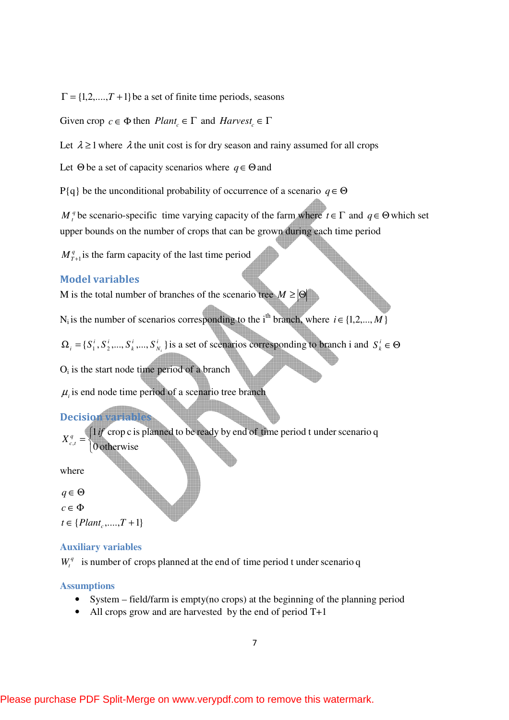$\Gamma = \{1, 2, \ldots, T + 1\}$  be a set of finite time periods, seasons

Given crop  $c \in \Phi$  then  $Plant_c \in \Gamma$  and  $Harvest_c \in \Gamma$ 

Let  $\lambda \geq 1$  where  $\lambda$  the unit cost is for dry season and rainy assumed for all crops

Let Θ be a set of capacity scenarios where *q*∈Θand

P{q} be the unconditional probability of occurrence of a scenario *q*∈Θ

*M*<sup>*q*</sup> be scenario-specific time varying capacity of the farm where  $t \in \Gamma$  and  $q \in \Theta$  which set upper bounds on the number of crops that can be grown during each time period

 $M_{T+1}^q$  is the farm capacity of the last time period

#### Model variables

M is the total number of branches of the scenario tree  $M \geq |\Theta|$ 

N<sub>i</sub> is the number of scenarios corresponding to the i<sup>th</sup> branch, where  $i \in \{1, 2, ..., M\}$ 

 ${S_1^i, S_2^i, ..., S_k^i, ..., S_{N_i}^i}$ *N i k i i*  $\Omega_i = \{S_1^i, S_2^i, ..., S_k^i, ..., S_{N_i}^i\}$  is a set of scenarios corresponding to branch i and  $S_k^i \in \Theta$ 

 $O_i$  is the start node time period of a branch

 $\mu$ <sub>i</sub> is end node time period of a scenario tree branch

### Decision

 $\overline{\mathfrak{l}}$ 

0 otherwise

╬  $\int$ = 1 if crop c is planned to be ready by end of time period t under scenario q  $X_c^q$ 

where

*c t*

∈ Θ *q*

∈ Φ *c*

 $t \in \{Plant_c, \ldots, T + 1\}$ 

#### **Auxiliary variables**

 $W_t^q$  is number of crops planned at the end of time period t under scenario q

#### **Assumptions**

- System field/farm is empty(no crops) at the beginning of the planning period
- All crops grow and are harvested by the end of period T+1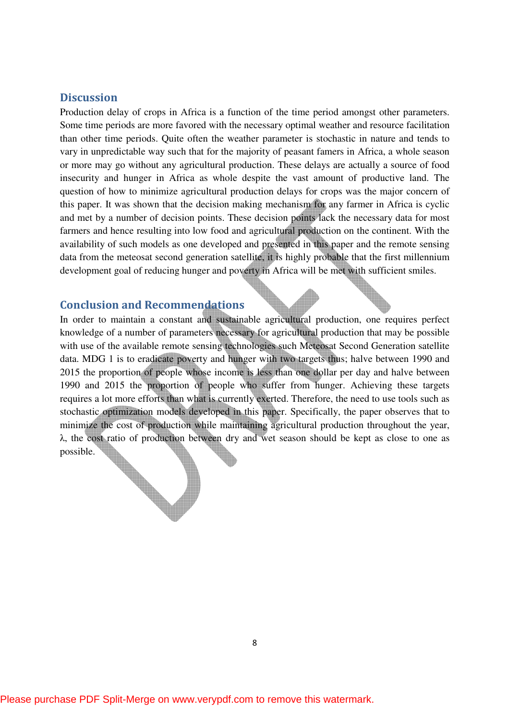### **Discussion**

Production delay of crops in Africa is a function of the time period amongst other parameters. Some time periods are more favored with the necessary optimal weather and resource facilitation than other time periods. Quite often the weather parameter is stochastic in nature and tends to vary in unpredictable way such that for the majority of peasant famers in Africa, a whole season or more may go without any agricultural production. These delays are actually a source of food insecurity and hunger in Africa as whole despite the vast amount of productive land. The question of how to minimize agricultural production delays for crops was the major concern of this paper. It was shown that the decision making mechanism for any farmer in Africa is cyclic and met by a number of decision points. These decision points lack the necessary data for most farmers and hence resulting into low food and agricultural production on the continent. With the availability of such models as one developed and presented in this paper and the remote sensing data from the meteosat second generation satellite, it is highly probable that the first millennium development goal of reducing hunger and poverty in Africa will be met with sufficient smiles.

### Conclusion and Recommendations

In order to maintain a constant and sustainable agricultural production, one requires perfect knowledge of a number of parameters necessary for agricultural production that may be possible with use of the available remote sensing technologies such Meteosat Second Generation satellite data. MDG 1 is to eradicate poverty and hunger with two targets thus; halve between 1990 and 2015 the proportion of people whose income is less than one dollar per day and halve between 1990 and 2015 the proportion of people who suffer from hunger. Achieving these targets requires a lot more efforts than what is currently exerted. Therefore, the need to use tools such as stochastic optimization models developed in this paper. Specifically, the paper observes that to minimize the cost of production while maintaining agricultural production throughout the year, λ, the cost ratio of production between dry and wet season should be kept as close to one as possible.